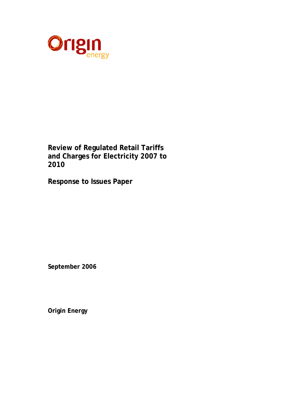

**Review of Regulated Retail Tariffs and Charges for Electricity 2007 to 2010** 

**Response to Issues Paper** 

**September 2006** 

**Origin Energy**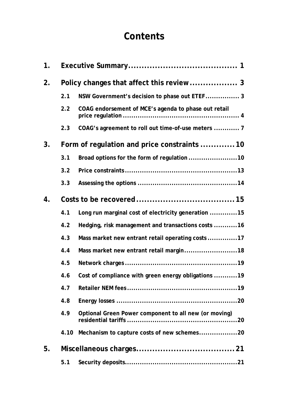# **Contents**

| 1 <sub>1</sub> |                                             |                                                       |  |  |  |
|----------------|---------------------------------------------|-------------------------------------------------------|--|--|--|
| 2.             |                                             |                                                       |  |  |  |
|                | 2.1                                         | NSW Government's decision to phase out ETEF 3         |  |  |  |
|                | 2.2                                         | COAG endorsement of MCE's agenda to phase out retail  |  |  |  |
|                | 2.3                                         | COAG's agreement to roll out time-of-use meters  7    |  |  |  |
| 3.             | Form of regulation and price constraints 10 |                                                       |  |  |  |
|                | 3.1                                         | Broad options for the form of regulation 10           |  |  |  |
|                | 3.2                                         |                                                       |  |  |  |
|                | 3.3                                         |                                                       |  |  |  |
| 4.             |                                             |                                                       |  |  |  |
|                | 4.1                                         | Long run marginal cost of electricity generation 15   |  |  |  |
|                | 4.2                                         | Hedging, risk management and transactions costs 16    |  |  |  |
|                | 4.3                                         | Mass market new entrant retail operating costs 17     |  |  |  |
|                | 4.4                                         | Mass market new entrant retail margin18               |  |  |  |
|                | 4.5                                         |                                                       |  |  |  |
|                | 4.6                                         | Cost of compliance with green energy obligations 19   |  |  |  |
|                | 4.7                                         |                                                       |  |  |  |
|                | 4.8                                         |                                                       |  |  |  |
|                | 4.9                                         | Optional Green Power component to all new (or moving) |  |  |  |
|                | 4.10                                        | Mechanism to capture costs of new schemes20           |  |  |  |
| 5.             |                                             |                                                       |  |  |  |
|                | 5.1                                         |                                                       |  |  |  |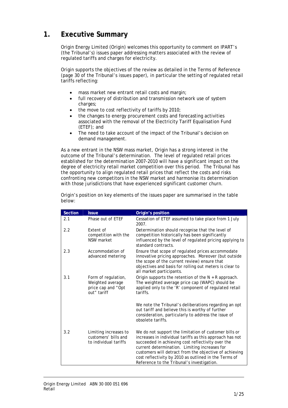# **1. Executive Summary**

Origin Energy Limited (Origin) welcomes this opportunity to comment on IPART's (the Tribunal's) issues paper addressing matters associated with the review of regulated tariffs and charges for electricity.

Origin supports the objectives of the review as detailed in the Terms of Reference (page 30 of the Tribunal's issues paper), in particular the setting of regulated retail tariffs reflecting:

- mass market new entrant retail costs and margin;
- full recovery of distribution and transmission network use of system charges;
- the move to cost reflectivity of tariffs by 2010;
- the changes to energy procurement costs and forecasting activities associated with the removal of the Electricity Tariff Equalisation Fund (ETEF); and
- The need to take account of the impact of the Tribunal's decision on demand management.

As a new entrant in the NSW mass market, Origin has a strong interest in the outcome of the Tribunal's determination. The level of regulated retail prices established for the determination 2007-2010 will have a significant impact on the degree of electricity retail market competition over this period. The Tribunal has the opportunity to align regulated retail prices that reflect the costs and risks confronting new competitors in the NSW market and harmonise its determination with those jurisdictions that have experienced significant customer churn.

| <b>Section</b> | <b>Issue</b>                                                                 | Origin's position                                                                                                                                                                                                                                                                                                                                                                        |
|----------------|------------------------------------------------------------------------------|------------------------------------------------------------------------------------------------------------------------------------------------------------------------------------------------------------------------------------------------------------------------------------------------------------------------------------------------------------------------------------------|
| 2.1            | Phase out of ETEF                                                            | Cessation of ETEF assumed to take place from 1 July<br>2007.                                                                                                                                                                                                                                                                                                                             |
| 2.2            | Extent of<br>competition with the<br>NSW market                              | Determination should recognise that the level of<br>competition historically has been significantly<br>influenced by the level of regulated pricing applying to<br>standard contracts.                                                                                                                                                                                                   |
| 2.3            | Accommodation of<br>advanced metering                                        | Ensure that scope of regulated prices accommodate<br>innovative pricing approaches. Moreover (but outside<br>the scope of the current review) ensure that<br>objectives and basis for rolling out meters is clear to<br>all market participants.                                                                                                                                         |
| 3.1            | Form of regulation,<br>Weighted average<br>price cap and "Opt<br>out" tariff | Origin supports the retention of the $N + R$ approach.<br>The weighted average price cap (WAPC) should be<br>applied only to the 'R' component of regulated retail<br>tariffs.                                                                                                                                                                                                           |
|                |                                                                              | We note the Tribunal's deliberations regarding an opt<br>out tariff and believe this is worthy of further<br>consideration, particularly to address the issue of<br>obsolete tariffs.                                                                                                                                                                                                    |
| 3.2            | Limiting increases to<br>customers' bills and<br>to individual tariffs       | We do not support the limitation of customer bills or<br>increases in individual tariffs as this approach has not<br>succeeded in achieving cost reflectivity over the<br>current determination. Limiting increases for<br>customers will detract from the objective of achieving<br>cost reflectivity by 2010 as outlined in the Terms of<br>Reference to the Tribunal's investigation. |

Origin's position on key elements of the issues paper are summarised in the table below: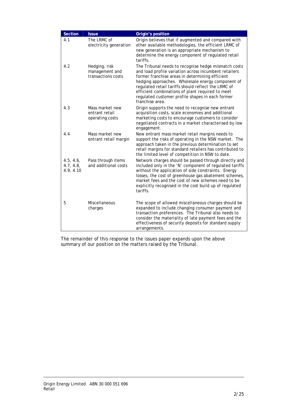| Section                             | <b>Issue</b>                                          | Origin's position                                                                                                                                                                                                                                                                                                                                                                                       |
|-------------------------------------|-------------------------------------------------------|---------------------------------------------------------------------------------------------------------------------------------------------------------------------------------------------------------------------------------------------------------------------------------------------------------------------------------------------------------------------------------------------------------|
| 4.1                                 | The LRMC of<br>electricity generation                 | Origin believes that if augmented and compared with<br>other available methodologies, the efficient LRMC of<br>new generation is an appropriate mechanism to<br>determine the energy component of regulated retail<br>tariffs.                                                                                                                                                                          |
| 4.2                                 | Hedging, risk<br>management and<br>transactions costs | The Tribunal needs to recognise hedge mismatch costs<br>and load profile variation across incumbent retailers<br>former franchise areas in determining efficient<br>hedging approaches. Wholesale energy component of<br>regulated retail tariffs should reflect the LRMC of<br>efficient combinations of plant required to meet<br>regulated customer profile shapes in each former<br>franchise area. |
| 4.3                                 | Mass market new<br>entrant retail<br>operating costs  | Origin supports the need to recognise new entrant<br>acquisition costs, scale economies and additional<br>marketing costs to encourage customers to consider<br>negotiated contracts in a market characterised by low<br>engagement.                                                                                                                                                                    |
| 4.4                                 | Mass market new<br>entrant retail margin              | New entrant mass market retail margins needs to<br>support the risks of operating in the NSW market. The<br>approach taken in the previous determination to set<br>retail margins for standard retailers has contributed to<br>the limited level of competition in NSW to date.                                                                                                                         |
| 4.5, 4.6,<br>4.7, 4.8,<br>4.9, 4.10 | Pass through items<br>and additional costs            | Network charges should be passed through directly and<br>included only in the 'N' component of regulated tariffs<br>without the application of side constraints. Energy<br>losses, the cost of greenhouse gas abatement schemes,<br>market fees and the cost of new schemes need to be<br>explicitly recognised in the cost build up of regulated<br>tariffs.                                           |
| 5                                   | Miscellaneous<br>charges                              | The scope of allowed miscellaneous charges should be<br>expanded to include changing consumer payment and<br>transaction preferences. The Tribunal also needs to<br>consider the materiality of late payment fees and the<br>effectiveness of security deposits for standard supply<br>arrangements.                                                                                                    |

 The remainder of this response to the issues paper expands upon the above summary of our position on the matters raised by the Tribunal.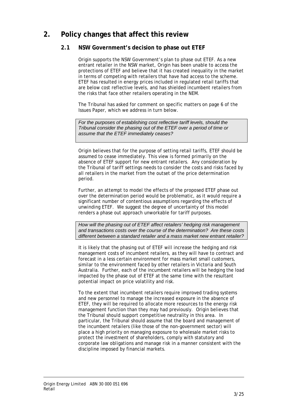# **2. Policy changes that affect this review**

### **2.1 NSW Government's decision to phase out ETEF**

Origin supports the NSW Government's plan to phase out ETEF. As a new entrant retailer in the NSW market, Origin has been unable to access the protections of ETEF and believe that it has created inequality in the market in terms of competing with retailers that have had access to the scheme. ETEF has resulted in energy prices included in regulated retail tariffs that are below cost reflective levels, and has shielded incumbent retailers from the risks that face other retailers operating in the NEM.

The Tribunal has asked for comment on specific matters on page 6 of the Issues Paper, which we address in turn below.

*For the purposes of establishing cost reflective tariff levels, should the Tribunal consider the phasing out of the ETEF over a period of time or assume that the ETEF immediately ceases?* 

Origin believes that for the purpose of setting retail tariffs, ETEF should be assumed to cease immediately. This view is formed primarily on the absence of ETEF support for new entrant retailers. Any consideration by the Tribunal of tariff settings needs to consider the costs and risks faced by all retailers in the market from the outset of the price determination period.

Further, an attempt to model the effects of the proposed ETEF phase out over the determination period would be problematic, as it would require a significant number of contentious assumptions regarding the effects of unwinding ETEF. We suggest the degree of uncertainty of this model renders a phase out approach unworkable for tariff purposes.

*How will the phasing out of ETEF affect retailers' hedging risk management and transactions costs over the course of the determination? Are these costs different between a standard retailer and a mass market new entrant retailer?* 

It is likely that the phasing out of ETEF will increase the hedging and risk management costs of incumbent retailers, as they will have to contract and forecast in a less certain environment for mass market small customers, similar to the environment faced by other retailers in Victoria and South Australia. Further, each of the incumbent retailers will be hedging the load impacted by the phase out of ETEF at the same time with the resultant potential impact on price volatility and risk.

To the extent that incumbent retailers require improved trading systems and new personnel to manage the increased exposure in the absence of ETEF, they will be required to allocate more resources to the energy risk management function than they may had previously. Origin believes that the Tribunal should support competitive neutrality in this area. In particular, the Tribunal should assume that the board and management of the incumbent retailers (like those of the non-government sector) will place a high priority on managing exposure to wholesale market risks to protect the investment of shareholders, comply with statutory and corporate law obligations and manage risk in a manner consistent with the discipline imposed by financial markets.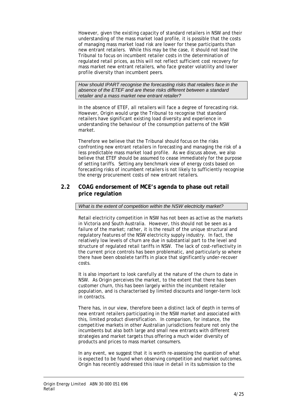However, given the existing capacity of standard retailers in NSW and their understanding of the mass market load profile, it is possible that the costs of managing mass market load risk are lower for these participants than new entrant retailers. While this may be the case, it should not lead the Tribunal to focus on incumbent retailer costs in the determination of regulated retail prices, as this will not reflect sufficient cost recovery for mass market new entrant retailers, who face greater volatility and lower profile diversity than incumbent peers.

*How should IPART recognise the forecasting risks that retailers face in the absence of the ETEF and are these risks different between a standard retailer and a mass market new entrant retailer?* 

In the absence of ETEF, all retailers will face a degree of forecasting risk. However, Origin would urge the Tribunal to recognise that standard retailers have significant existing load diversity and experience in understanding the behaviour of the consumption patterns of the NSW market.

Therefore we believe that the Tribunal should focus on the risks confronting new entrant retailers in forecasting and managing the risk of a less predictable mass market load profile. As we discuss above, we also believe that ETEF should be assumed to cease immediately for the purpose of setting tariffs. Setting any benchmark view of energy costs based on forecasting risks of incumbent retailers is not likely to sufficiently recognise the energy procurement costs of new entrant retailers.

#### **2.2 COAG endorsement of MCE's agenda to phase out retail price regulation**

*What is the extent of competition within the NSW electricity market?* 

Retail electricity competition in NSW has not been as active as the markets in Victoria and South Australia. However, this should not be seen as a failure of the market; rather, it is the result of the unique structural and regulatory features of the NSW electricity supply industry. In fact, the relatively low levels of churn are due in substantial part to the level and structure of regulated retail tariffs in NSW. The lack of cost-reflectivity in the current price controls has been problematic, and particularly so where there have been obsolete tariffs in place that significantly under-recover costs.

It is also important to look carefully at the nature of the churn to date in NSW. As Origin perceives the market, to the extent that there has been customer churn, this has been largely within the incumbent retailer population, and is characterised by limited discounts and longer-term lock in contracts.

There has, in our view, therefore been a distinct lack of depth in terms of new entrant retailers participating in the NSW market and associated with this, limited product diversification. In comparison, for instance, the competitive markets in other Australian jurisdictions feature not only the incumbents but also both large and small new entrants with different strategies and market targets thus offering a much wider diversity of products and prices to mass market consumers.

In any event, we suggest that it is worth re-assessing the question of what is expected to be found when observing competition and market outcomes. Origin has recently addressed this issue in detail in its submission to the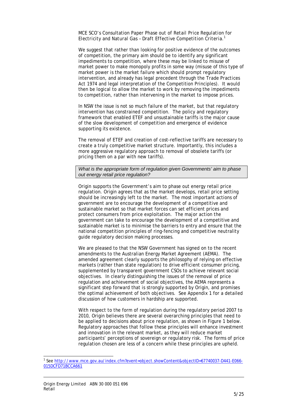MCE SCO's Consultation Paper *Phase out of Retail Price Regulation for Electricity and Natural Gas – Draft Effective Competition Criteria.1*

We suggest that rather than looking for positive evidence of the outcomes of competition, the primary aim should be to identify any significant impediments to competition, where these may be linked to misuse of market power to make monopoly profits in some way (misuse of this type of market power is the market failure which should prompt regulatory intervention, and already has legal precedent through the *Trade Practices Act 1974* and legal interpretation of the Competition Principles). It would then be logical to allow the market to work by removing the impediments to competition, rather than intervening in the market to impose prices.

In NSW the issue is not so much failure of the market, but that regulatory intervention has constrained competition. The policy and regulatory framework that enabled ETEF and unsustainable tariffs is the major cause of the slow development of competition and emergence of evidence supporting its existence.

The removal of ETEF and creation of cost-reflective tariffs are necessary to create a truly competitive market structure. Importantly, this includes a more aggressive regulatory approach to removal of obsolete tariffs (or pricing them on a par with new tariffs).

*What is the appropriate form of regulation given Governments' aim to phase out energy retail price regulation?* 

Origin supports the Government's aim to phase out energy retail price regulation. Origin agrees that as the market develops, retail price setting should be increasingly left to the market. The most important actions of government are to encourage the development of a competitive and sustainable market so that market forces can set efficient prices and protect consumers from price exploitation. The major action the government can take to encourage the development of a competitive and sustainable market is to minimise the barriers to entry and ensure that the national competition principles of ring-fencing and competitive neutrality guide regulatory decision making processes.

We are pleased to that the NSW Government has signed on to the recent amendments to the Australian Energy Market Agreement (AEMA). The amended agreement clearly supports the philosophy of relying on effective markets (rather than state regulation) to drive efficient consumer pricing, supplemented by transparent government CSOs to achieve relevant social objectives. In clearly distinguishing the issues of the removal of price regulation and achievement of social objectives, the AEMA represents a significant step forward that is strongly supported by Origin, and promises the optimal achievement of both objectives. See Appendix 1 for a detailed discussion of how customers in hardship are supported.

With respect to the form of regulation during the regulatory period 2007 to 2010, Origin believes there are several overarching principles that need to be applied to decisions about price regulation, as shown in Figure 1 below. Regulatory approaches that follow these principles will enhance investment and innovation in the relevant market, as they will reduce market participants' perceptions of sovereign or regulatory risk. The forms of price regulation chosen are less of a concern while these principles are upheld.

 $\overline{a}$ 

<sup>&</sup>lt;sup>1</sup> See <u>http://www.mce.gov.au/index.cfm?event=object.showContent&objectID=67740037-D441-E066-</u> 015DCFD71BCCA661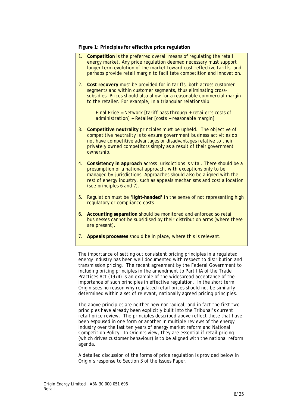**Figure 1: Principles for effective price regulation** 

- 1. **Competition** is the preferred overall means of regulating the retail energy market. Any price regulation deemed necessary must support longer term evolution of the market toward cost-reflective tariffs, and perhaps provide retail margin to facilitate competition and innovation.
- 2. **Cost recovery** must be provided for in tariffs, both across customer segments and within customer segments, thus eliminating crosssubsidies. Prices should also allow for a reasonable commercial margin to the retailer. For example, in a triangular relationship:

 *Final Price = Network [tariff pass through + retailer's costs of administration] + Retailer [costs + reasonable margin]* 

- 3. **Competitive neutrality** principles must be upheld. The objective of competitive neutrality is to ensure government business activities do not have competitive advantages or disadvantages relative to their privately owned competitors simply as a result of their government ownership.
- 4. **Consistency in approach** across jurisdictions is vital. There should be a presumption of a national approach, with exceptions only to be managed by jurisdictions. Approaches should also be aligned with the rest of energy industry, such as appeals mechanisms and cost allocation (see principles 6 and 7).
- 5. Regulation must be **'light-handed'** in the sense of not representing high regulatory or compliance costs
- 6. **Accounting separation** should be monitored and enforced so retail businesses cannot be subsidised by their distribution arms (where these are present).
- 7. **Appeals processes** should be in place, where this is relevant.

The importance of setting out consistent pricing principles in a regulated energy industry has been well documented with respect to distribution and transmission pricing. The recent agreement by the Federal Government to including pricing principles in the amendment to Part IIIA of the *Trade Practices Act (1974)* is an example of the widespread acceptance of the importance of such principles in effective regulation. In the short term, Origin sees no reason why regulated retail prices should not be similarly determined within a set of relevant, nationally agreed pricing principles.

The above principles are neither new nor radical, and in fact the first two principles have already been explicitly built into the Tribunal's current retail price review. The principles described above reflect those that have been espoused in one form or another in multiple reviews of the energy industry over the last ten years of energy market reform and National Competition Policy. In Origin's view, they are essential if retail pricing (which drives customer behaviour) is to be aligned with the national reform agenda.

A detailed discussion of the forms of price regulation is provided below in Origin's response to Section 3 of the Issues Paper.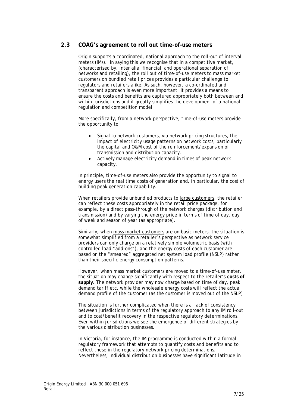#### **2.3 COAG's agreement to roll out time-of-use meters**

Origin supports a coordinated, national approach to the roll-out of interval meters (IMs). In saying this we recognise that in a competitive market, (characterised by, inter alia, financial and operational separation of networks and retailing), the roll out of time-of-use meters to mass market customers on bundled retail prices provides a particular challenge to regulators and retailers alike. As such, however, a co-ordinated and transparent approach is even more important. It provides a means to ensure the costs and benefits are captured appropriately both between and within jurisdictions and it greatly simplifies the development of a national regulation and competition model.

More specifically, from a network perspective, time-of-use meters provide the opportunity to:

- Signal to network customers, via network pricing structures, the impact of electricity usage patterns on network costs, particularly the capital and O&M cost of the reinforcement/expansion of transmission and distribution capacity.
- Actively manage electricity demand in times of peak network capacity.

In principle, time-of-use meters also provide the opportunity to signal to energy users the real time costs of generation and, in particular, the cost of building peak generation capability.

When retailers provide unbundled products to large customers, the retailer can reflect these costs appropriately in the retail price package, for example, by a direct pass-through of the network charges (distribution and transmission) and by varying the energy price in terms of time of day, day of week and season of year (as appropriate).

Similarly, when mass market customers are on basic meters, the situation is somewhat simplified from a retailer's perspective as network service providers can only charge on a relatively simple volumetric basis (with controlled load "add-ons"), and the energy costs of each customer are based on the "smeared" aggregated net system load profile (NSLP) rather than their specific energy consumption patterns.

However, when mass market customers are moved to a time-of-use meter, the situation may change significantly with respect to the retailer's **costs of supply.** The network provider may now charge based on time of day, peak demand tariff etc, while the wholesale energy costs will reflect the actual demand profile of the customer (as the customer is moved out of the NSLP)

The situation is further complicated when there is a lack of consistency between jurisdictions in terms of the regulatory approach to any IM roll-out and to cost/benefit recovery in the respective regulatory determinations. Even within jurisdictions we see the emergence of different strategies by the various distribution businesses.

In Victoria, for instance, the IM programme is conducted within a formal regulatory framework that attempts to quantify costs and benefits and to reflect these in the regulatory network pricing determinations. Nevertheless, individual distribution businesses have significant latitude in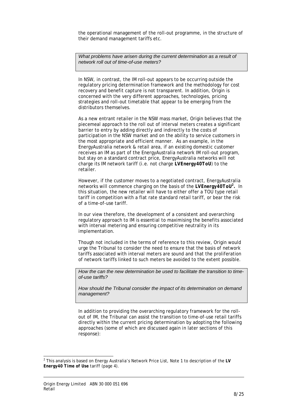the operational management of the roll-out programme, in the structure of their demand management tariffs etc.

*What problems have arisen during the current determination as a result of network roll out of time-of-use meters?* 

In NSW, in contrast, the IM roll-out appears to be occurring outside the regulatory pricing determination framework and the methodology for cost recovery and benefit capture is not transparent. In addition, Origin is concerned with the very different approaches, technologies, pricing strategies and roll-out timetable that appear to be emerging from the distributors themselves.

As a new entrant retailer in the NSW mass market, Origin believes that the piecemeal approach to the roll out of interval meters creates a significant barrier to entry by adding directly and indirectly to the costs of participation in the NSW market and on the ability to service customers in the most appropriate and efficient manner. As an example, in the EnergyAustralia network & retail area, if an existing domestic customer receives an IM as part of the EnergyAustralia network IM roll-out program, but stay on a standard contract price, EnergyAustralia networks will not charge its IM network tariff (i.e. not charge *LVEnergy40ToU*) to the retailer.

However, if the customer moves to a negotiated contract, EnergyAustralia networks will commence charging on the basis of the *LVEnergy40ToU2 .* In this situation, the new retailer will have to either offer a TOU type retail tariff in competition with a flat rate standard retail tariff, or bear the risk of a time-of-use tariff.

In our view therefore, the development of a consistent and overarching regulatory approach to IM is essential to maximising the benefits associated with interval metering and ensuring competitive neutrality in its implementation.

Though not included in the terms of reference to this review, Origin would urge the Tribunal to consider the need to ensure that the basis of network tariffs associated with interval meters are sound and that the proliferation of network tariffs linked to such meters be avoided to the extent possible.

*How the can the new determination be used to facilitate the transition to timeof-use tariffs?* 

*How should the Tribunal consider the impact of its determination on demand management?* 

In addition to providing the overarching regulatory framework for the rollout of IM, the Tribunal can assist the transition to time-of-use retail tariffs directly within the current pricing determination by adopting the following approaches (some of which are discussed again in later sections of this response):

 2 This analysis is based on Energy Australia's Network Price List, Note 1 to description of the *LV Energy40 Time of Use* tariff (page 4).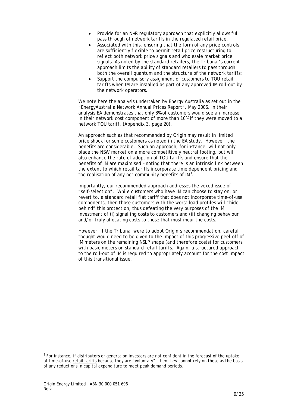- Provide for an N+R regulatory approach that explicitly allows full pass through of network tariffs in the regulated retail price.
- Associated with this, ensuring that the form of any price controls are sufficiently flexible to permit retail price restructuring to reflect both network price signals and wholesale market price signals. As noted by the standard retailers, the Tribunal's current approach limits the ability of standard retailers to pass through both the overall quantum and the structure of the network tariffs;
- Support the compulsory assignment of customers to TOU retail tariffs when IM are installed as part of any approved IM roll-out by the network operators.

We note here the analysis undertaken by Energy Australia as set out in the "*EnergyAustralia Network Annual Prices Report*", May 2006. In their analysis EA demonstrates that only 8% of customers would see an increase in their network cost component of more than 10% if they were moved to a network TOU tariff. (Appendix 3, page 20).

An approach such as that recommended by Origin may result in limited price shock for some customers as noted in the EA study. However, the benefits are considerable. Such an approach, for instance, will not only place the NSW market on a more competitively neutral footing, but will also enhance the rate of adoption of TOU tariffs and ensure that the benefits of IM are maximised – noting that there is an intrinsic link between the extent to which retail tariffs incorporate time dependent pricing and the realisation of any net community benefits of  $IM<sup>3</sup>$ .

Importantly, our recommended approach addresses the vexed issue of "self-selection". While customers who have IM can choose to stay on, or revert to, a standard retail flat tariff that does not incorporate time-of-use components, then those customers with the worst load profiles will "hide behind" this protection, thus defeating the very purposes of the IM investment of (i) signalling costs to customers and (ii) changing behaviour and/or truly allocating costs to those that most incur the costs.

However, if the Tribunal were to adopt Origin's recommendation, careful thought would need to be given to the impact of this progressive peel-off of IM meters on the remaining NSLP shape (and therefore costs) for customers with basic meters on standard retail tariffs. Again, a structured approach to the roll-out of IM is required to appropriately account for the cost impact of this transitional issue,

l

 $3$  For instance, if distributors or generation investors are not confident in the forecast of the uptake of time-of-use retail tariffs because they are "voluntary", then they cannot rely on these as the basis of any reductions in capital expenditure to meet peak demand periods.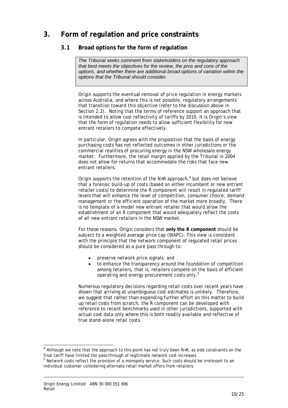# **3. Form of regulation and price constraints**

# **3.1 Broad options for the form of regulation**

*The Tribunal seeks comment from stakeholders on the regulatory approach that best meets the objectives for the review, the pros and cons of the options, and whether there are additional broad options of variation within the options that the Tribunal should consider.* 

Origin supports the eventual removal of price regulation in energy markets across Australia, and where this is not possible, regulatory arrangements that transition toward this objective (refer to the discussion above in Section 2.2). Noting that the terms of reference support an approach that is intended to allow cost reflectivity of tariffs by 2010, it is Origin's view that the form of regulation needs to allow sufficient flexibility for new entrant retailers to compete effectively.

In particular, Origin agrees with the proposition that the basis of energy purchasing costs has not reflected outcomes in other jurisdictions or the commercial realities of procuring energy in the NSW wholesale energy market. Furthermore, the retail margin applied by the Tribunal in 2004 does not allow for returns that accommodate the risks that face new entrant retailers.

Origin supports the retention of the N+R approach, $4$  but does not believe that a forensic build-up of costs (based on either incumbent or new entrant retailer costs) to determine the R component will result in regulated tariff levels that will enhance the level of competition, consumer choice, demand management or the efficient operation of the market more broadly. There is no template of a model new entrant retailer that would allow the establishment of an R component that would adequately reflect the costs of all new entrant retailers in the NSW market.

For these reasons, Origin considers that **only the R component** should be subject to a weighted average price cap (WAPC). This view is consistent with the principle that the network component of regulated retail prices should be considered as a pure pass through to:

- preserve network price signals; and
- to enhance the transparency around the foundation of competition among retailers, that is, retailers compete on the basis of efficient operating and energy procurement costs only.<sup>5</sup>

Numerous regulatory decisions regarding retail costs over recent years have shown that arriving at unambiguous cost estimates is unlikely. Therefore, we suggest that rather than expending further effort on this matter to build up retail costs from scratch, the R component can be developed with reference to recent benchmarks used in other jurisdictions, supported with actual cost data only where this is both readily available and reflective of true stand-alone retail costs.

l

 $4$  Although we note that the approach to this point has not truly been N+R, as side constraints on the final tariff have limited the pass-through of legitimate network cost increases.

<sup>&</sup>lt;sup>5</sup> Network costs reflect the provision of a monopoly service. Such costs should be irrelevant to an individual customer considering alternate retail market offers from retailers.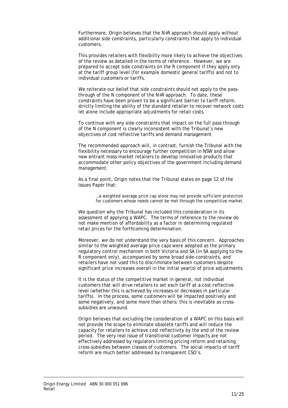Furthermore, Origin believes that the N+R approach should apply without additional side constraints, particularly constraints that apply to individual customers.

This provides retailers with flexibility more likely to achieve the objectives of the review as detailed in the terms of reference. However, we are prepared to accept side constraints on the R component if they apply only at the tariff group level (for example domestic general tariffs) and not to individual customers or tariffs.

We reiterate our belief that side constraints should not apply to the passthrough of the N component of the N+R approach. To date, these constraints have been proven to be a significant barrier to tariff reform, strictly limiting the ability of the standard retailer to recover network costs let alone include appropriate adjustments for retail costs.

To continue with any side-constraints that impact on the full pass through of the N component is clearly inconsistent with the Tribunal's new objectives of cost reflective tariffs and demand management

The recommended approach will, in contrast, furnish the Tribunal with the flexibility necessary to encourage further competition in NSW and allow new entrant mass market retailers to develop innovative products that accommodate other policy objectives of the government including demand management.

As a final point, Origin notes that the Tribunal states on page 12 of the Issues Paper that:

> …a weighted average price cap alone may not provide sufficient protection for customers whose needs cannot be met through the competitive market.

We question why the Tribunal has included this consideration in its assessment of applying a WAPC. The terms of reference to the review do not make mention of affordability as a factor in determining regulated retail prices for the forthcoming determination.

Moreover, we do not understand the very basis of this concern. Approaches similar to the weighted average price caps were adopted as the primary regulatory control mechanism in both Victoria and SA (in SA applying to the R component only), accompanied by some broad side-constraints, and retailers have not used this to discriminate between customers despite significant price increases overall in the initial year(s) of price adjustments.

It is the status of the competitive market in general, not individual customers that will drive retailers to set each tariff at a cost-reflective level (whether this is achieved by increases or decreases in particular tariffs). In the process, some customers will be impacted positively and some negatively, and some more than others; this is inevitable as crosssubsidies are unwound.

Origin believes that excluding the consideration of a WAPC on this basis will not provide the scope to eliminate obsolete tariffs and will reduce the capacity for retailers to achieve cost reflectivity by the end of the review period. The very real issue of transitional customer impacts are not effectively addressed by regulators limiting pricing reform and retaining cross-subsidies between classes of customers. The social impacts of tariff reform are much better addressed by transparent CSO's.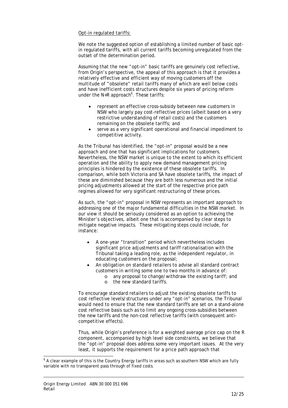#### Opt-in regulated tariffs:

We note the suggested option of establishing a limited number of basic optin regulated tariffs, with all current tariffs becoming unregulated from the outset of the determination period.

Assuming that the new "opt-in" basic tariffs are genuinely cost reflective, from Origin's perspective, the appeal of this approach is that it provides a relatively effective and efficient way of moving customers off the multitude of "obsolete" retail tariffs many of which are well below costs and have inefficient costs structures despite six years of pricing reform under the N+R approach<sup>6</sup>. These tariffs:

- represent an effective cross-subsidy between new customers in NSW who largely pay cost-reflective prices (albeit based on a very restrictive understanding of retail costs) and the customers remaining on the obsolete tariffs; and
- serve as a very significant operational and financial impediment to competitive activity.

As the Tribunal has identified, the "opt-in" proposal would be a new approach and one that has significant implications for customers. Nevertheless, the NSW market is unique to the extent to which its efficient operation and the ability to apply new demand management pricing principles is hindered by the existence of these obsolete tariffs. In comparison, while both Victoria and SA have obsolete tariffs, the impact of these are diminished because they are both less numerous and the initial pricing adjustments allowed at the start of the respective price path regimes allowed for very significant restructuring of these prices.

As such, the "opt-in" proposal in NSW represents an important approach to addressing one of the major fundamental difficulties in the NSW market. In our view it should be seriously considered as an option to achieving the Minister's objectives, albeit one that is accompanied by clear steps to mitigate negative impacts. These mitigating steps could include, for instance:

- A one-year "transition" period which nevertheless includes significant price adjustments and tariff rationalisation with the Tribunal taking a leading role, as the independent regulator, in educating customers on the proposal;
- An obligation on standard retailers to advise all standard contract customers in writing some one to two months in advance of:
	- o any proposal to change/withdraw the existing tariff; and
	- o the new standard tariffs.

To encourage standard retailers to adjust the existing obsolete tariffs to cost reflective levels/structures under any "opt-in" scenarios, the Tribunal would need to ensure that the new standard tariffs are set on a stand-alone cost reflective basis such as to limit any ongoing cross-subsidies between the new tariffs and the non-cost reflective tariffs (with consequent anticompetitive effects).

Thus, while Origin's preference is for a weighted average price cap on the R component, accompanied by high level side constraints, we believe that the "opt-in" proposal does address some very important issues. At the very least, it supports the requirement for a price path approach that

 $\overline{a}$ 

 $<sup>6</sup>$  A clear example of this is the Country Energy tariffs in areas such as southern NSW which are fully</sup> variable with no transparent pass through of fixed costs.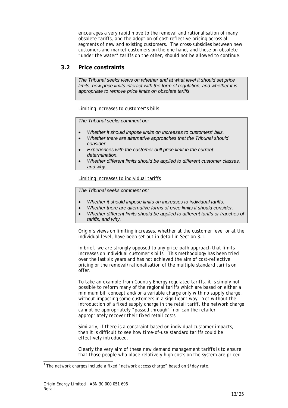encourages a very rapid move to the removal and rationalisation of many obsolete tariffs, and the adoption of cost-reflective pricing across all segments of new and existing customers. The cross-subsidies between new customers and market customers on the one hand, and those on obsolete "under the water" tariffs on the other, should not be allowed to continue.

#### **3.2 Price constraints**

*The Tribunal seeks views on whether and at what level it should set price limits, how price limits interact with the form of regulation, and whether it is appropriate to remove price limits on obsolete tariffs.* 

Limiting increases to customer's bills

*The Tribunal seeks comment on:* 

- *Whether it should impose limits on increases to customers' bills.*
- *Whether there are alternative approaches that the Tribunal should consider.*
- *Experiences with the customer bull price limit in the current determination.*
- *Whether different limits should be applied to different customer classes, and why.*

Limiting increases to individual tariffs

*The Tribunal seeks comment on:* 

- *Whether it should impose limits on increases to individual tariffs.*
- *Whether there are alternative forms of price limits it should consider.*
- *Whether different limits should be applied to different tariffs or tranches of tariffs, and why.*

Origin's views on limiting increases, whether at the customer level or at the individual level, have been set out in detail in Section 3.1.

In brief, we are strongly opposed to any price-path approach that limits increases on individual customer's bills. This methodology has been tried over the last six years and has not achieved the aim of cost-reflective pricing or the removal/rationalisation of the multiple standard tariffs on offer.

To take an example from Country Energy regulated tariffs, it is simply not possible to reform many of the regional tariffs which are based on either a minimum bill concept and/or a variable charge only with no supply charge, without impacting some customers in a significant way. Yet without the introduction of a fixed supply charge in the retail tariff, the network charge cannot be appropriately "passed through"<sup>7</sup> nor can the retailer appropriately recover their fixed retail costs.

Similarly, if there is a constraint based on individual customer impacts, then it is difficult to see how time-of-use standard tariffs could be effectively introduced.

Clearly the very aim of these new demand management tariffs is to ensure that those people who place relatively high costs on the system are priced

 7 The network charges include a fixed "network access charge" based on \$/day rate.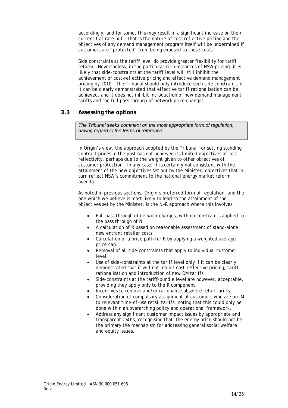accordingly, and for some, this may result in a significant increase on their current flat rate bill. That is the nature of cost-reflective pricing and the objectives of any demand management program itself will be undermined if customers are "protected" from being exposed to these costs.

Side constraints at the tariff level do provide greater flexibility for tariff reform. Nevertheless, in the particular circumstances of NSW pricing, it is likely that side-constraints at the tariff level will still inhibit the achievement of cost-reflective pricing and effective demand management pricing by 2010. The Tribunal should only introduce such side constraints if it can be clearly demonstrated that effective tariff rationalisation can be achieved, and it does not inhibit introduction of new demand management tariffs and the full pass through of network price changes.

### **3.3 Assessing the options**

*The Tribunal seeks comment on the most appropriate form of regulation, having regard to the terms of reference.* 

In Origin's view, the approach adopted by the Tribunal for setting standing contract prices in the past has not achieved its limited objectives of cost reflectivity, perhaps due to the weight given to other objectives of customer protection. In any case, it is certainly not consistent with the attainment of the new objectives set out by the Minister, objectives that in turn reflect NSW's commitment to the national energy market reform agenda.

As noted in previous sections, Origin's preferred form of regulation, and the one which we believe is most likely to lead to the attainment of the objectives set by the Minister, is the N+R approach where this involves:

- Full pass through of network charges, with no constraints applied to the pass through of N.
- A calculation of R based on reasonable assessment of stand-alone new entrant retailer costs.
- Calculation of a price path for R by applying a weighted average price cap.
- Removal of all side-constraints that apply to individual customer level.
- Use of side-constraints at the tariff level only if it can be clearly demonstrated that it will not inhibit cost-reflective pricing, tariff rationalisation and introduction of new DM tariffs.
- Side-constraints at the tariff-bundle level are however, acceptable, providing they apply only to the R component.
- Incentives to remove and/or rationalise obsolete retail tariffs.
- Consideration of compulsory assignment of customers who are on IM to relevant time-of-use retail tariffs, noting that this could only be done within an overarching policy and operational framework.
- Address any significant customer impact issues by appropriate and transparent CSO's, recognising that the energy price should not be the primary the mechanism for addressing general social welfare and equity issues.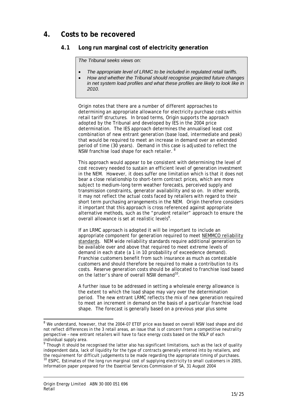# **4. Costs to be recovered**

## **4.1 Long run marginal cost of electricity generation**

*The Tribunal seeks views on:* 

- *The appropriate level of LRMC to be included in regulated retail tariffs.*
- *How and whether the Tribunal should recognise projected future changes in net system load profiles and what these profiles are likely to look like in 2010.*

Origin notes that there are a number of different approaches to determining an appropriate allowance for electricity purchase costs within retail tariff structures. In broad terms, Origin supports the approach adopted by the Tribunal and developed by IES in the 2004 price determination. The IES approach determines the annualised least cost combination of new entrant generation (base load, intermediate and peak) that would be required to meet an increase in demand over an extended period of time (30 years). Demand in this case is adjusted to reflect the NSW franchise load shape for each retailer. <sup>8</sup>

This approach would appear to be consistent with determining the level of cost recovery needed to sustain an efficient level of generation investment in the NEM. However, it does suffer one limitation which is that it does not bear a close relationship to short-term contract prices, which are more subject to medium-long term weather forecasts, perceived supply and transmission constraints, generator availability and so on. In other words, it may not reflect the actual costs faced by retailers with regard to their short term purchasing arrangements in the NEM. Origin therefore considers it important that this approach is cross referenced against appropriate alternative methods, such as the "prudent retailer" approach to ensure the overall allowance is set at realistic levels<sup>9</sup>.

If an LRMC approach is adopted it will be important to include an appropriate component for generation required to meet NEMMCO reliability standards. NEM wide reliability standards require additional generation to be available over and above that required to meet extreme levels of demand in each state (a 1 in 10 probability of exceedence demand). Franchise customers benefit from such insurance as much as contestable customers and should therefore be required to make a contribution to its costs. Reserve generation costs should be allocated to franchise load based on the latter's share of overall NSW demand<sup>10</sup>.

A further issue to be addressed in setting a wholesale energy allowance is the extent to which the load shape may vary over the determination period. The new entrant LRMC reflects the mix of new generation required to meet an increment in demand on the basis of a particular franchise load shape. The forecast is generally based on a previous year plus some

l

<sup>&</sup>lt;sup>8</sup> We understand, however, that the 2004-07 ETEF price was based on overall NSW load shape and did not reflect differences in the 3 retail areas, an issue that is of concern from a competitive neutrality perspective – new entrant retailers will have to face energy costs based on the NSLP of each individual supply area.

<sup>&</sup>lt;sup>9</sup> Though it should be recognised the latter also has significant limitations, such as the lack of quality independent data, lack of liquidity for the type of contracts generally entered into by retailers, and the requirement for difficult judgements to be made regarding the appropriate timing of purchases. <sup>10</sup> ESIPC, *Estimates of the long run marginal cost of supplying electricity to small customers in 2005*, Information paper prepared for the Essential Services Commission of SA, 31 August 2004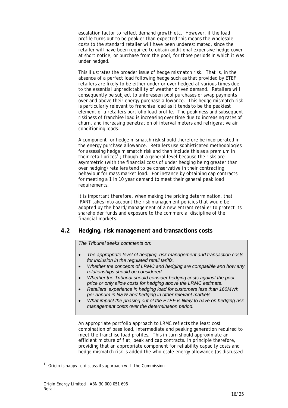escalation factor to reflect demand growth etc. However, if the load profile turns out to be peakier than expected this means the wholesale costs to the standard retailer will have been underestimated, since the retailer will have been required to obtain additional expensive hedge cover at short notice, or purchase from the pool, for those periods in which it was under hedged.

This illustrates the broader issue of hedge mismatch risk. That is, in the absence of a perfect load following hedge such as that provided by ETEF retailers are likely to be either under or over hedged at various times due to the essential unpredictability of weather driven demand. Retailers will consequently be subject to unforeseen pool purchases or swap payments over and above their energy purchase allowance. This hedge mismatch risk is particularly relevant to franchise load as it tends to be the peakiest element of a retailers portfolio load profile. The peakiness and subsequent riskiness of franchise load is increasing over time due to increasing rates of churn, and increasing penetration of interval meters and refrigerative air conditioning loads.

A component for hedge mismatch risk should therefore be incorporated in the energy purchase allowance. Retailers use sophisticated methodologies for assessing hedge mismatch risk and then include this as a premium in their retail  $\text{prices}^{\{1\}}$ ; though at a general level because the risks are asymmetric (with the financial costs of under hedging being greater than over hedging) retailers tend to be conservative in their contracting behaviour for mass market load. For instance by obtaining cap contracts for meeting a 1 in 10 year demand to meet their general peak load requirements.

It is important therefore, when making the pricing determination, that IPART takes into account the risk management policies that would be adopted by the board/management of a new entrant retailer to protect its shareholder funds and exposure to the commercial discipline of the financial markets.

### **4.2 Hedging, risk management and transactions costs**

*The Tribunal seeks comments on:* 

- *The appropriate level of hedging, risk management and transaction costs for inclusion in the regulated retail tariffs.*
- *Whether the concepts of LRMC and hedging are compatible and how any relationships should be considered.*
- *Whether the Tribunal should consider hedging costs against the pool price or only allow costs for hedging above the LRMC estimate.*
- *Retailers' experience in hedging load for customers less than 160MWh per annum in NSW and hedging in other relevant markets*
- *What impact the phasing out of the ETEF is likely to have on hedging risk management costs over the determination period.*

An appropriate portfolio approach to LRMC reflects the least cost combination of base load, intermediate and peaking generation required to meet the franchise load profiles. This in turn should approximate an efficient mixture of flat, peak and cap contracts. In principle therefore, providing that an appropriate component for reliability capacity costs and hedge mismatch risk is added the wholesale energy allowance (as discussed

 $\overline{a}$ 

 $11$  Origin is happy to discuss its approach with the Commission.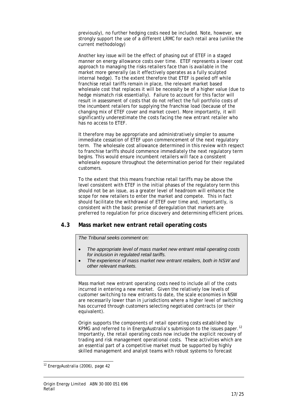previously), no further hedging costs need be included. Note, however, we strongly support the use of a different LRMC for each retail area (unlike the current methodology)

Another key issue will be the effect of phasing out of ETEF in a staged manner on energy allowance costs over time. ETEF represents a lower cost approach to managing the risks retailers face than is available in the market more generally (as it effectively operates as a fully sculpted internal hedge). To the extent therefore that ETEF is peeled off while franchise retail tariffs remain in place, the relevant market based wholesale cost that replaces it will be necessity be of a higher value (due to hedge mismatch risk essentially). Failure to account for this factor will result in assessment of costs that do not reflect the full portfolio costs of the incumbent retailers for supplying the franchise load (because of the changing mix of ETEF cover and market cover). More importantly, it will significantly underestimate the costs facing the new entrant retailer who has no access to ETEF.

It therefore may be appropriate and administratively simpler to assume immediate cessation of ETEF upon commencement of the next regulatory term. The wholesale cost allowance determined in this review with respect to franchise tariffs should commence immediately the next regulatory term begins. This would ensure incumbent retailers will face a consistent wholesale exposure throughout the determination period for their regulated customers.

To the extent that this means franchise retail tariffs may be above the level consistent with ETEF in the initial phases of the regulatory term this should not be an issue, as a greater level of headroom will enhance the scope for new retailers to enter the market and compete. This in fact should facilitate the withdrawal of ETEF over time and, importantly, is consistent with the basic premise of deregulation that markets are preferred to regulation for price discovery and determining efficient prices.

#### **4.3 Mass market new entrant retail operating costs**

*The Tribunal seeks comment on:* 

- *The appropriate level of mass market new entrant retail operating costs for inclusion in regulated retail tariffs.*
- *The experience of mass market new entrant retailers, both in NSW and other relevant markets.*

Mass market new entrant operating costs need to include all of the costs incurred in entering a new market. Given the relatively low levels of customer switching to new entrants to date, the scale economies in NSW are necessarily lower than in jurisdictions where a higher level of switching has occurred through customers selecting negotiated contracts (or their equivalent).

Origin supports the components of retail operating costs established by KPMG and referred to in EnergyAustralia's submission to the issues paper.<sup>12</sup> Importantly, the retail operating costs now include the explicit recovery of trading and risk management operational costs. These activities which are an essential part of a competitive market must be supported by highly skilled management and analyst teams with robust systems to forecast

 $\overline{a}$ 

<sup>&</sup>lt;sup>12</sup> EnergyAustralia (2006), page 42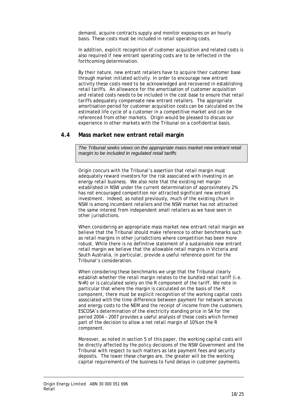demand, acquire contracts supply and monitor exposures on an hourly basis. These costs must be included in retail operating costs.

In addition, explicit recognition of customer acquisition and related costs is also required if new entrant operating costs are to be reflected in the forthcoming determination.

By their nature, new entrant retailers have to acquire their customer base through market initiated activity. In order to encourage new entrant activity these costs need to be acknowledged and recovered in establishing retail tariffs. An allowance for the amortisation of customer acquisition and related costs needs to be included in the cost base to ensure that retail tariffs adequately compensate new entrant retailers. The appropriate amortisation period for customer acquisition costs can be calculated on the estimated life cycle of a customer in a competitive market and can be referenced from other markets. Origin would be pleased to discuss our experience in other markets with the Tribunal on a confidential basis.

#### **4.4 Mass market new entrant retail margin**

*The Tribunal seeks views on the appropriate mass market new entrant retail margin to be included in regulated retail tariffs* 

Origin concurs with the Tribunal's assertion that retail margin must adequately reward investors for the risk associated with investing in an energy retail business. We also note that the existing net margin established in NSW under the current determination of approximately 2% has not encouraged competition nor attracted significant new entrant investment. Indeed, as noted previously, much of the existing churn in NSW is among incumbent retailers and the NSW market has not attracted the same interest from independent small retailers as we have seen in other jurisdictions.

When considering an appropriate mass market new entrant retail margin we believe that the Tribunal should make reference to other benchmarks such as retail margins in other jurisdictions where competition has been more robust. While there is no definitive statement of a sustainable new entrant retail margin we believe that the allowable retail margins in Victoria and South Australia, in particular, provide a useful reference point for the Tribunal's consideration.

When considering these benchmarks we urge that the Tribunal clearly establish whether the retail margin relates to the bundled retail tariff (i.e. N+R) or is calculated solely on the R component of the tariff. We note in particular that where the margin is calculated on the basis of the R component, there must be explicit recognition of the working capital costs associated with the time difference between payment for network services and energy costs to the NEM and the receipt of income from the customers. ESCOSA's determination of the electricity standing price in SA for the period 2004 – 2007 provides a useful analysis of these costs which formed part of the decision to allow a net retail margin of 10% on the R component.

Moreover, as noted in section 5 of this paper, the working capital costs will be directly affected by the policy decisions of the NSW Government and the Tribunal with respect to such matters as late payment fees and security deposits. The lower these charges are, the greater will be the working capital requirements of the business to fund delays in customer payments.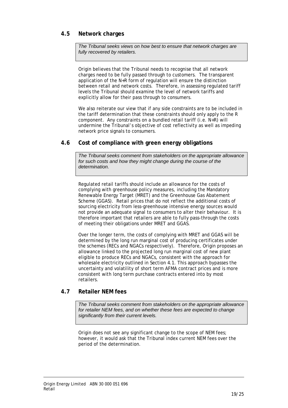### **4.5 Network charges**

*The Tribunal seeks views on how best to ensure that network charges are fully recovered by retailers.* 

Origin believes that the Tribunal needs to recognise that all network charges need to be fully passed through to customers. The transparent application of the N+R form of regulation will ensure the distinction between retail and network costs. Therefore, in assessing regulated tariff levels the Tribunal should examine the level of network tariffs and explicitly allow for their pass through to consumers.

We also reiterate our view that if any side constraints are to be included in the tariff determination that these constraints should only apply to the R component. Any constraints on a bundled retail tariff (i.e. N+R) will undermine the Tribunal's objective of cost reflectivity as well as impeding network price signals to consumers.

#### **4.6 Cost of compliance with green energy obligations**

*The Tribunal seeks comment from stakeholders on the appropriate allowance for such costs and how they might change during the course of the determination.* 

Regulated retail tariffs should include an allowance for the costs of complying with greenhouse policy measures, including the Mandatory Renewable Energy Target (MRET) and the Greenhouse Gas Abatement Scheme (GGAS). Retail prices that do not reflect the additional costs of sourcing electricity from less-greenhouse intensive energy sources would not provide an adequate signal to consumers to alter their behaviour. It is therefore important that retailers are able to fully pass-through the costs of meeting their obligations under MRET and GGAS.

Over the longer term, the costs of complying with MRET and GGAS will be determined by the long run marginal cost of producing certificates under the schemes (RECs and NGACs respectively). Therefore, Origin proposes an allowance linked to the projected long run marginal cost of new plant eligible to produce RECs and NGACs, consistent with the approach for wholesale electricity outlined in Section 4.1. This approach bypasses the uncertainty and volatility of short term AFMA contract prices and is more consistent with long term purchase contracts entered into by most retailers.

#### **4.7 Retailer NEM fees**

*The Tribunal seeks comment from stakeholders on the appropriate allowance for retailer NEM fees, and on whether these fees are expected to change significantly from their current levels.* 

Origin does not see any significant change to the scope of NEM fees; however, it would ask that the Tribunal index current NEM fees over the period of the determination.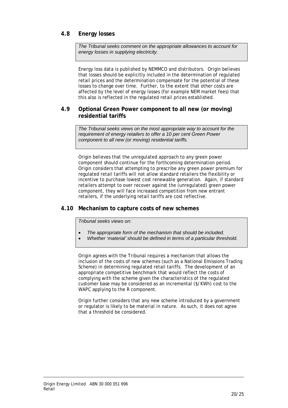### **4.8 Energy losses**

*The Tribunal seeks comment on the appropriate allowances to account for energy losses in supplying electricity.* 

Energy loss data is published by NEMMCO and distributors. Origin believes that losses should be explicitly included in the determination of regulated retail prices and the determination compensate for the potential of these losses to change over time. Further, to the extent that other costs are affected by the level of energy losses (for example NEM market fees) that this also is reflected in the regulated retail prices established.

#### **4.9 Optional Green Power component to all new (or moving) residential tariffs**

*The Tribunal seeks views on the most appropriate way to account for the requirement of energy retailers to offer a 10 per cent Green Power component to all new (or moving) residential tariffs.* 

Origin believes that the unregulated approach to any green power component should continue for the forthcoming determination period. Origin considers that attempting to prescribe any green power premium for regulated retail tariffs will not allow standard retailers the flexibility or incentive to purchase lowest cost renewable generation. Again, if standard retailers attempt to over recover against the (unregulated) green power component, they will face increased competition from new entrant retailers, if the underlying retail tariffs are cost reflective.

#### **4.10 Mechanism to capture costs of new schemes**

*Tribunal seeks views on:* 

- *The appropriate form of the mechanism that should be included.*
- *Whether 'material' should be defined in terms of a particular threshold.*

Origin agrees with the Tribunal requires a mechanism that allows the inclusion of the costs of new schemes (such as a National Emissions Trading Scheme) in determining regulated retail tariffs. The development of an appropriate competitive benchmark that would reflect the costs of complying with the scheme given the characteristics of the regulated customer base may be considered as an incremental (\$/KWh) cost to the WAPC applying to the R component.

Origin further considers that any new scheme introduced by a government or regulator is likely to be material in nature. As such, it does not agree that a threshold be considered.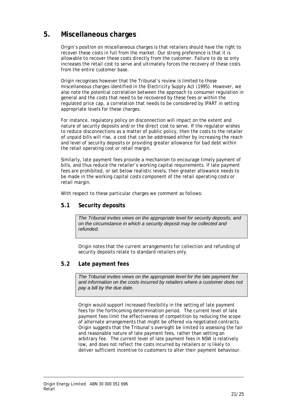# **5. Miscellaneous charges**

Origin's position on miscellaneous charges is that retailers should have the right to recover these costs in full from the market. Our strong preference is that it is allowable to recover these costs directly from the customer. Failure to do so only increases the retail cost to serve and ultimately forces the recovery of these costs from the entire customer base.

Origin recognises however that the Tribunal's review is limited to those miscellaneous charges identified in the *Electricity Supply Act* (1995). However, we also note the potential correlation between the approach to consumer regulation in general and the costs that need to be recovered by these fees or within the regulated price cap, a correlation that needs to be considered by IPART in setting appropriate levels for these charges.

For instance, regulatory policy on disconnection will impact on the extent and nature of security deposits and/or the direct cost to serve. If the regulator wishes to reduce disconnections as a matter of public policy, then the costs to the retailer of unpaid bills will rise, a cost that can be addressed either by increasing the reach and level of security deposits or providing greater allowance for bad debt within the retail operating cost or retail margin.

Similarly, late payment fees provide a mechanism to encourage timely payment of bills, and thus reduce the retailer's working capital requirements. If late payment fees are prohibited, or set below realistic levels, then greater allowance needs to be made in the working capital costs component of the retail operating costs or retail margin.

With respect to these particular charges we comment as follows:

#### **5.1 Security deposits**

*The Tribunal invites views on the appropriate level for security deposits, and on the circumstance in which a security deposit may be collected and refunded.* 

Origin notes that the current arrangements for collection and refunding of security deposits relate to standard retailers only.

#### **5.2 Late payment fees**

*The Tribunal invites views on the appropriate level for the late payment fee and information on the costs incurred by retailers where a customer does not pay a bill by the due date.* 

Origin would support increased flexibility in the setting of late payment fees for the forthcoming determination period. The current level of late payment fees limit the effectiveness of competition by reducing the scope of alternate arrangements that might be offered via negotiated contracts. Origin suggests that the Tribunal's oversight be limited to assessing the fair and reasonable nature of late payment fees, rather than setting an arbitrary fee. The current level of late payment fees in NSW is relatively low, and does not reflect the costs incurred by retailers or is likely to deliver sufficient incentive to customers to alter their payment behaviour.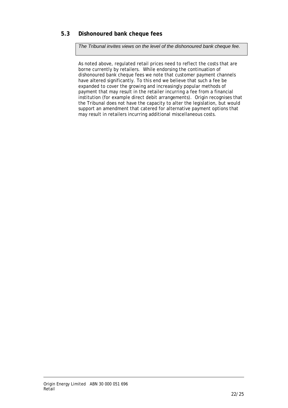## **5.3 Dishonoured bank cheque fees**

*The Tribunal invites views on the level of the dishonoured bank cheque fee.* 

As noted above, regulated retail prices need to reflect the costs that are borne currently by retailers. While endorsing the continuation of dishonoured bank cheque fees we note that customer payment channels have altered significantly. To this end we believe that such a fee be expanded to cover the growing and increasingly popular methods of payment that may result in the retailer incurring a fee from a financial institution (for example direct debit arrangements). Origin recognises that the Tribunal does not have the capacity to alter the legislation, but would support an amendment that catered for alternative payment options that may result in retailers incurring additional miscellaneous costs.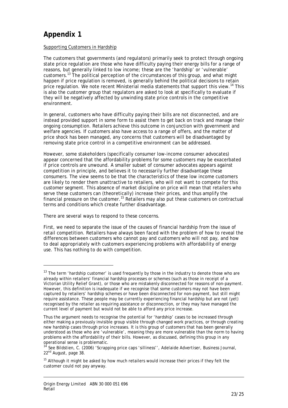# **Appendix 1**

 $\overline{a}$ 

#### Supporting Customers in Hardship

The customers that governments (and regulators) primarily seek to protect through ongoing state price regulation are those who have difficulty paying their energy bills for a range of reasons, but generally linked to low income; these are the 'hardship' or 'vulnerable' customers.13 The political perception of the circumstances of this group, and what might happen if price regulation is removed, is generally behind the political decisions to retain price regulation. We note recent Ministerial media statements that support this view.<sup>14</sup> This is also the customer group that regulators are asked to look at specifically to evaluate if they will be negatively affected by unwinding state price controls in the competitive environment.

In general, customers who have difficulty paying their bills are not disconnected, and are instead provided support in some form to assist them to get back on track and manage their ongoing consumption. Retailers achieve this outcome in conjunction with government and welfare agencies. If customers also have access to a range of offers, and the matter of price shock has been managed, any concerns that customers will be disadvantaged by removing state price control in a competitive environment can be addressed.

However, some stakeholders (specifically consumer low-income consumer advocates) appear concerned that the affordability problems for some customers may be exacerbated if price controls are unwound. A smaller subset of consumer advocates appears against competition in principle, and believes it to *necessarily* further disadvantage these consumers. The view seems to be that the characteristics of these low income customers are likely to render them unattractive to retailers, who will not want to compete for this customer segment. This absence of market discipline on price will mean that retailers who serve these customers can (theoretically) increase their prices, and thus amplify the financial pressure on the customer.<sup>15</sup> Retailers may also put these customers on contractual terms and conditions which create further disadvantage.

There are several ways to respond to these concerns.

First, we need to separate the issue of the causes of financial hardship from the issue of retail competition. Retailers have always been faced with the problem of how to reveal the differences between customers who cannot pay and customers who will not pay, and how to deal appropriately with customers experiencing problems with affordability of energy use. This has nothing to do with competition.

 $13$  The term 'hardship customer' is used frequently by those in the industry to denote those who are already within retailers' financial hardship processes or schemes (such as those in receipt of a Victorian Utility Relief Grant), or those who are mistakenly disconnected for reasons of non-payment. However, this definition is inadequate if we recognise that some customers may not have been captured by retailers' hardship schemes *or* have been disconnected for non-payment, but still might require assistance. These people may be currently experiencing financial hardship but are not (yet) recognised by the retailer as requiring assistance or disconnection, or they may have managed the current level of payment but would not be able to afford any price increase.

Thus the argument needs to recognise the *potential* for 'hardship' cases to be increased through either making a previously invisible group visible through changed work practices, or through creating new hardship cases through price increases. It is this group of customers that has been generally understood as those who are 'vulnerable', meaning they are more vulnerable than the norm to having problems with the affordability of their bills. However, as discussed, defining this group in any operational sense is problematic.

<sup>14</sup> See Bildstien, C. (2006) 'Scrapping price caps 'silliness'', *Adelaide Advertiser*, Business Journal, 22<sup>nd</sup> August, page 38.

<sup>&</sup>lt;sup>15</sup> Although it might be asked by how much retailers would increase their prices if they felt the customer could not pay anyway.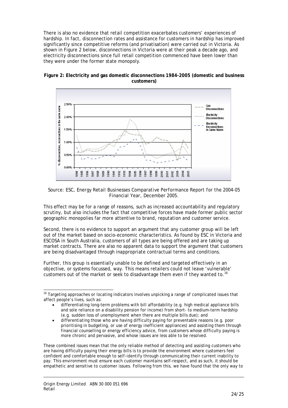There is also no evidence that retail competition exacerbates customers' experiences of hardship. In fact, disconnection rates and assistance for customers in hardship has improved significantly since competitive reforms (and privatisation) were carried out in Victoria. As shown in Figure 2 below, disconnections in Victoria were at their peak a decade ago, and electricity disconnections since full retail competition commenced have been lower than they were under the former state monopoly.





Source: ESC, *Energy Retail Businesses Comparative Performance Report for the 2004-05 Financial Year*, December 2005.

This effect may be for a range of reasons, such as increased accountability and regulatory scrutiny, but also includes the fact that competitive forces have made former public sector geographic monopolies far more attentive to brand, reputation and customer service.

Second, there is no evidence to support an argument that any customer group will be left out of the market based on socio-economic characteristics. As found by ESC in Victoria and ESCOSA in South Australia, customers of all types are being offered and are taking up market contracts. There are also no apparent data to support the argument that customers are being disadvantaged through inappropriate contractual terms and conditions.

Further, this group is essentially unable to be defined and targeted effectively in an objective, or systems focussed, way. This means retailers could not leave 'vulnerable' customers out of the market or seek to disadvantage them *even if they wanted to.<sup>16</sup>*

These combined issues mean that the only reliable method of detecting and assisting customers who are having difficulty paying their energy bills is to provide the environment where customers feel confident and comfortable enough to *self-identify* through communicating their current inability to pay. This environment must ensure each customer maintains self-respect, and as such, it should be empathetic and sensitive to customer issues. Following from this, we have found that the only way to

l

<sup>&</sup>lt;sup>16</sup> Targeting approaches or locating indicators involves unpicking a range of complicated issues that affect people's lives, such as:

<sup>•</sup> differentiating long-term problems with bill affordability (e.g. high medical appliance bills and sole reliance on a disability pension for income) from short- to medium-term hardship (e.g. sudden loss of unemployment when there are multiple bills due); and

<sup>•</sup> differentiating those who are having difficulty paying for preventable reasons (e.g. poor prioritising in budgeting, or use of energy inefficient appliances) and assisting them through financial counselling or energy efficiency advice, from customers whose difficulty paying is more chronic and pervasive, and whose issues are less able to be resolved.